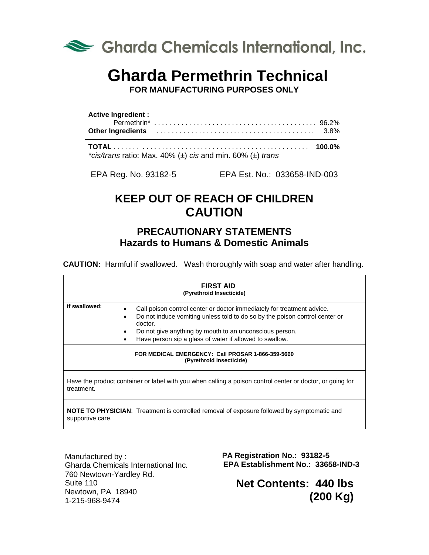

# **Gharda Permethrin Technical**

**FOR MANUFACTURING PURPOSES ONLY**

| <b>Active Ingredient:</b> |  |
|---------------------------|--|
|                           |  |
|                           |  |

**TOTAL** . . . . . . . . . . . . . . . . . . . . . . . . . . . . . . . . . . . . . . . . . . . . . . . . . . **100.0%** *\*cis/trans* ratio: Max. 40% (±) *cis* and min. 60% (±) *trans*

EPA Reg. No. 93182-5 EPA Est. No.: 033658-IND-003

# **KEEP OUT OF REACH OF CHILDREN CAUTION**

## **PRECAUTIONARY STATEMENTS Hazards to Humans & Domestic Animals**

**CAUTION:** Harmful if swallowed. Wash thoroughly with soap and water after handling.

| <b>FIRST AID</b><br>(Pyrethroid Insecticide)                                                                            |                                                                                                                                                                                 |  |
|-------------------------------------------------------------------------------------------------------------------------|---------------------------------------------------------------------------------------------------------------------------------------------------------------------------------|--|
| If swallowed:                                                                                                           | Call poison control center or doctor immediately for treatment advice.<br>$\bullet$<br>Do not induce vomiting unless told to do so by the poison control center or<br>$\bullet$ |  |
|                                                                                                                         | doctor.<br>Do not give anything by mouth to an unconscious person.<br>٠<br>Have person sip a glass of water if allowed to swallow.<br>٠                                         |  |
| FOR MEDICAL EMERGENCY: Call PROSAR 1-866-359-5660<br>(Pyrethroid Insecticide)                                           |                                                                                                                                                                                 |  |
| Have the product container or label with you when calling a poison control center or doctor, or going for<br>treatment. |                                                                                                                                                                                 |  |
| <b>NOTE TO PHYSICIAN:</b> Treatment is controlled removal of exposure followed by symptomatic and<br>supportive care.   |                                                                                                                                                                                 |  |

Manufactured by : 760 Newtown-Yardley Rd. Suite 110 Newtown, PA 18940 1-215-968-9474

 **EPA Registration No.: 93182-5 EPA Establishment No.: 33658-IND-3** Gharda Chemicals International Inc.

> **Net Contents: 440 lbs (200 Kg)**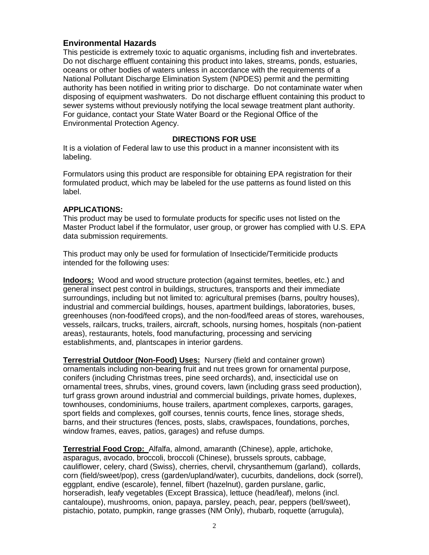#### **Environmental Hazards**

This pesticide is extremely toxic to aquatic organisms, including fish and invertebrates. Do not discharge effluent containing this product into lakes, streams, ponds, estuaries, oceans or other bodies of waters unless in accordance with the requirements of a National Pollutant Discharge Elimination System (NPDES) permit and the permitting authority has been notified in writing prior to discharge. Do not contaminate water when disposing of equipment washwaters. Do not discharge effluent containing this product to sewer systems without previously notifying the local sewage treatment plant authority. For guidance, contact your State Water Board or the Regional Office of the Environmental Protection Agency.

#### **DIRECTIONS FOR USE**

It is a violation of Federal law to use this product in a manner inconsistent with its labeling.

Formulators using this product are responsible for obtaining EPA registration for their formulated product, which may be labeled for the use patterns as found listed on this label.

#### **APPLICATIONS:**

This product may be used to formulate products for specific uses not listed on the Master Product label if the formulator, user group, or grower has complied with U.S. EPA data submission requirements.

This product may only be used for formulation of Insecticide/Termiticide products intended for the following uses:

**Indoors:** Wood and wood structure protection (against termites, beetles, etc.) and general insect pest control in buildings, structures, transports and their immediate surroundings, including but not limited to: agricultural premises (barns, poultry houses), industrial and commercial buildings, houses, apartment buildings, laboratories, buses, greenhouses (non-food/feed crops), and the non-food/feed areas of stores, warehouses, vessels, railcars, trucks, trailers, aircraft, schools, nursing homes, hospitals (non-patient areas), restaurants, hotels, food manufacturing, processing and servicing establishments, and, plantscapes in interior gardens.

**Terrestrial Outdoor (Non-Food) Uses:** Nursery (field and container grown) ornamentals including non-bearing fruit and nut trees grown for ornamental purpose, conifers (including Christmas trees, pine seed orchards), and, insecticidal use on ornamental trees, shrubs, vines, ground covers, lawn (including grass seed production), turf grass grown around industrial and commercial buildings, private homes, duplexes, townhouses, condominiums, house trailers, apartment complexes, carports, garages, sport fields and complexes, golf courses, tennis courts, fence lines, storage sheds, barns, and their structures (fences, posts, slabs, crawlspaces, foundations, porches, window frames, eaves, patios, garages) and refuse dumps.

**Terrestrial Food Crop:** Alfalfa, almond, amaranth (Chinese), apple, artichoke, asparagus, avocado, broccoli, broccoli (Chinese), brussels sprouts, cabbage, cauliflower, celery, chard (Swiss), cherries, chervil, chrysanthemum (garland), collards, corn (field/sweet/pop), cress (garden/upland/water), cucurbits, dandelions, dock (sorrel), eggplant, endive (escarole), fennel, filbert (hazelnut), garden purslane, garlic, horseradish, leafy vegetables (Except Brassica), lettuce (head/leaf), melons (incl. cantaloupe), mushrooms, onion, papaya, parsley, peach, pear, peppers (bell/sweet), pistachio, potato, pumpkin, range grasses (NM Only), rhubarb, roquette (arrugula),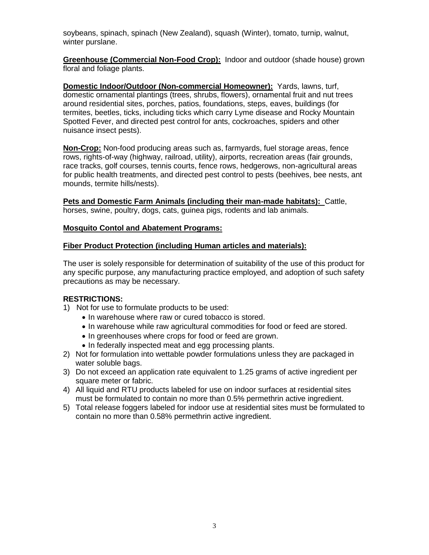soybeans, spinach, spinach (New Zealand), squash (Winter), tomato, turnip, walnut, winter purslane.

**Greenhouse (Commercial Non-Food Crop):** Indoor and outdoor (shade house) grown floral and foliage plants.

**Domestic Indoor/Outdoor (Non-commercial Homeowner):** Yards, lawns, turf, domestic ornamental plantings (trees, shrubs, flowers), ornamental fruit and nut trees around residential sites, porches, patios, foundations, steps, eaves, buildings (for termites, beetles, ticks, including ticks which carry Lyme disease and Rocky Mountain Spotted Fever, and directed pest control for ants, cockroaches, spiders and other nuisance insect pests).

**Non-Crop:** Non-food producing areas such as, farmyards, fuel storage areas, fence rows, rights-of-way (highway, railroad, utility), airports, recreation areas (fair grounds, race tracks, golf courses, tennis courts, fence rows, hedgerows, non-agricultural areas for public health treatments, and directed pest control to pests (beehives, bee nests, ant mounds, termite hills/nests).

**Pets and Domestic Farm Animals (including their man-made habitats):** Cattle, horses, swine, poultry, dogs, cats, guinea pigs, rodents and lab animals.

#### **Mosquito Contol and Abatement Programs:**

#### **Fiber Product Protection (including Human articles and materials):**

The user is solely responsible for determination of suitability of the use of this product for any specific purpose, any manufacturing practice employed, and adoption of such safety precautions as may be necessary.

#### **RESTRICTIONS:**

- 1) Not for use to formulate products to be used:
	- In warehouse where raw or cured tobacco is stored.
	- In warehouse while raw agricultural commodities for food or feed are stored.
	- In greenhouses where crops for food or feed are grown.
	- In federally inspected meat and egg processing plants.
- 2) Not for formulation into wettable powder formulations unless they are packaged in water soluble bags.
- 3) Do not exceed an application rate equivalent to 1.25 grams of active ingredient per square meter or fabric.
- 4) All liquid and RTU products labeled for use on indoor surfaces at residential sites must be formulated to contain no more than 0.5% permethrin active ingredient.
- 5) Total release foggers labeled for indoor use at residential sites must be formulated to contain no more than 0.58% permethrin active ingredient.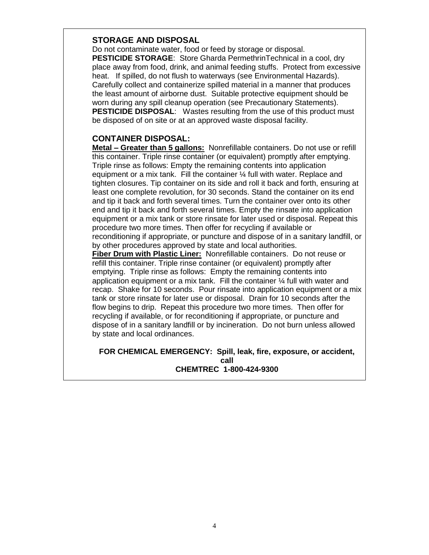#### **STORAGE AND DISPOSAL**

Do not contaminate water, food or feed by storage or disposal. **PESTICIDE STORAGE**: Store Gharda PermethrinTechnical in a cool, dry place away from food, drink, and animal feeding stuffs. Protect from excessive heat. If spilled, do not flush to waterways (see Environmental Hazards). Carefully collect and containerize spilled material in a manner that produces the least amount of airborne dust. Suitable protective equipment should be worn during any spill cleanup operation (see Precautionary Statements). **PESTICIDE DISPOSAL:** Wastes resulting from the use of this product must be disposed of on site or at an approved waste disposal facility.

### **CONTAINER DISPOSAL:**

**Metal – Greater than 5 gallons:** Nonrefillable containers. Do not use or refill this container. Triple rinse container (or equivalent) promptly after emptying. Triple rinse as follows: Empty the remaining contents into application equipment or a mix tank. Fill the container ¼ full with water. Replace and tighten closures. Tip container on its side and roll it back and forth, ensuring at least one complete revolution, for 30 seconds. Stand the container on its end and tip it back and forth several times. Turn the container over onto its other end and tip it back and forth several times. Empty the rinsate into application equipment or a mix tank or store rinsate for later used or disposal. Repeat this procedure two more times. Then offer for recycling if available or reconditioning if appropriate, or puncture and dispose of in a sanitary landfill, or by other procedures approved by state and local authorities.

**Fiber Drum with Plastic Liner:** Nonrefillable containers. Do not reuse or refill this container. Triple rinse container (or equivalent) promptly after emptying. Triple rinse as follows: Empty the remaining contents into application equipment or a mix tank. Fill the container ¼ full with water and recap. Shake for 10 seconds. Pour rinsate into application equipment or a mix tank or store rinsate for later use or disposal. Drain for 10 seconds after the flow begins to drip. Repeat this procedure two more times. Then offer for recycling if available, or for reconditioning if appropriate, or puncture and dispose of in a sanitary landfill or by incineration. Do not burn unless allowed by state and local ordinances.

#### **FOR CHEMICAL EMERGENCY: Spill, leak, fire, exposure, or accident, call CHEMTREC 1-800-424-9300**